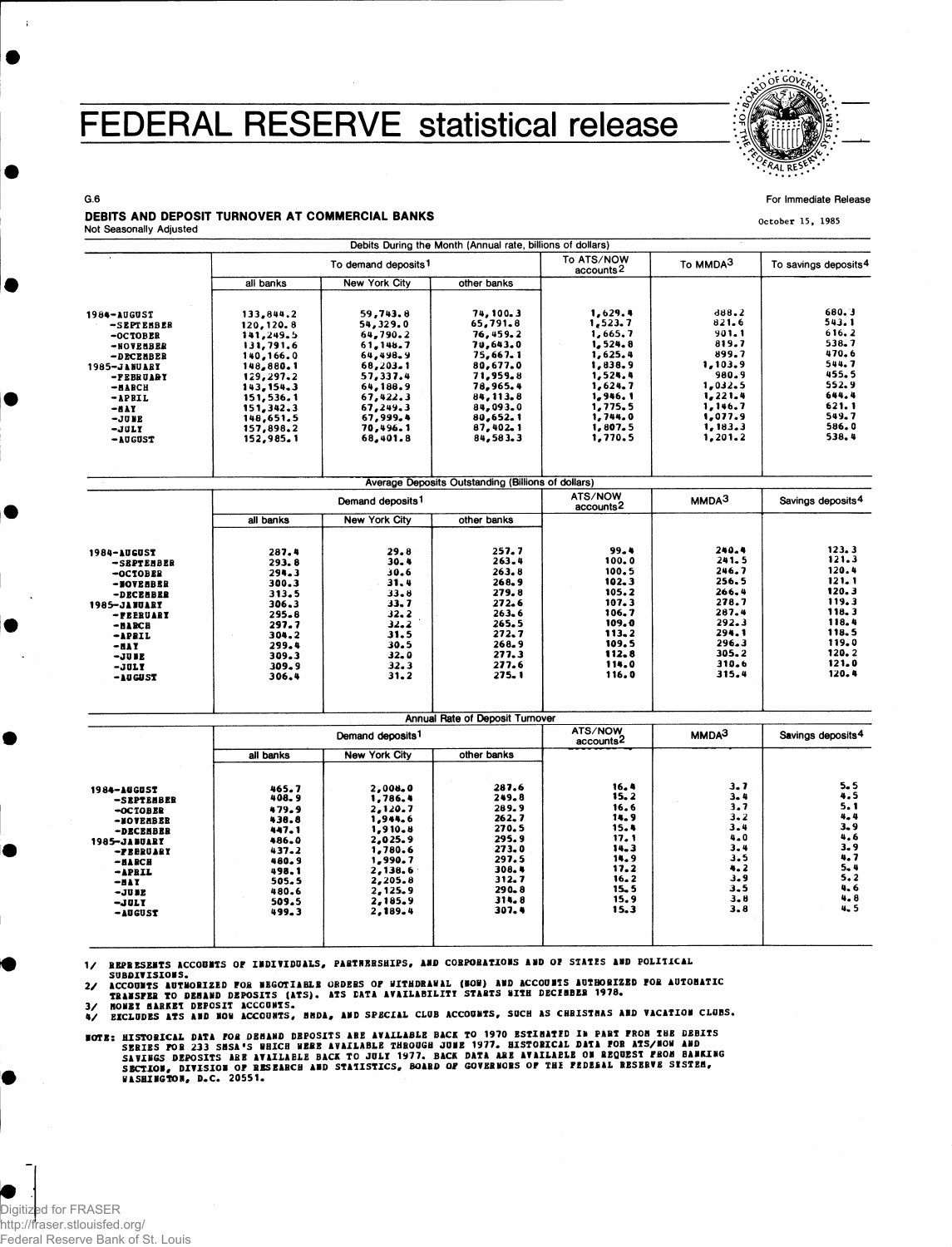## FEDERAL RESERVE statistical release



For Immediate Release

**October 15, 1985**

## G.6 DEBITS AND DEPOSIT TURNOVER AT COMMERCIAL BANKS

Not Seasonally Adjusted

 $\mathbf{r}$ 

|                           |                              |                                 | Debits During the Month (Annual rate, billions of dollars) |                                     |                    |                                  |
|---------------------------|------------------------------|---------------------------------|------------------------------------------------------------|-------------------------------------|--------------------|----------------------------------|
|                           |                              | To demand deposits <sup>1</sup> |                                                            | To ATS/NOW<br>accounts <sup>2</sup> | To MMDA3           | To savings deposits <sup>4</sup> |
|                           | all banks                    | New York City                   | other banks                                                |                                     |                    |                                  |
| 1984-AUGUST<br>-SEPTEMBER | 133,844.2<br>120, 120.8      | 59,743.8<br>54,329.0            | 74, 100.3<br>65,791.8                                      | 1,629.4<br>1,523.7                  | d88.2<br>821.6     | 680.3<br>543.1                   |
| $-0CTOBER$                | 141,249.5                    | 64,790.2                        | 76,459.2                                                   | 1,665.7                             | 901.1              | 616.2                            |
| -NOVEMBER                 | 131,791.6                    | 61.148.7                        | 70,643.0                                                   | 1, 524, 8                           | 819.7              | 538.7                            |
| -DECEBBER                 | 140,166.0                    | 64,498.9                        | 75,667.1                                                   | 1,625.4                             | 899.7              | 470.6<br>544.7                   |
| <b>1985-JANUARY</b>       | 148,880.1                    | 68,203.1                        | 80,677.0                                                   | 1,838.9                             | 1,103.9<br>980.9   | 455.5                            |
| -FEBRUARY                 | 129,297.2                    | 57,337.4                        | 71,959.8                                                   | 1,524.4<br>1,624.7                  | 1,032.5            | 552.9                            |
| -илисн                    | 143, 154, 3                  | 64,188.9<br>67,422.3            | 78,965.4<br>84, 113.8                                      | 1,946.1                             | 1,221.4            | 644.4                            |
| $-$ APRIL<br>-nay         | 151,536.1<br>151,342.3       | 67,249.3                        | 84,093.0                                                   | 1,775.5                             | 1,146.7            | 621.1                            |
| -JUNE                     | 148,651.5                    | 67,999.4                        | 80,652.1                                                   | 1,744.0                             | 1,077.9            | 549.7                            |
| $-30LT$                   | 157,898.2                    | 70,496.1                        | 87,402.1                                                   | 1,807.5                             | 1,183.3            | 586.0                            |
| -AUGUST                   | 152,985.1                    | 68,401.8                        | 84,583.3                                                   | 1,770.5                             | 1,201.2            | 538.4                            |
|                           |                              |                                 | Average Deposits Outstanding (Billions of dollars)         |                                     |                    |                                  |
|                           |                              |                                 |                                                            | ATS/NOW                             |                    |                                  |
|                           |                              | Demand deposits <sup>1</sup>    |                                                            | accounts <sup>2</sup>               | MMDA <sup>3</sup>  | Savings deposits <sup>4</sup>    |
|                           | all banks                    | New York City                   | other banks                                                |                                     |                    |                                  |
| 1984-AUGUST               | 287.4                        | 29.8                            | 257.7                                                      | 99.4                                | 240.4              | 123.3                            |
| -SEPTEMBER                | 293.8                        | 30.4                            | 263.4                                                      | 100.0                               | 241.5              | 121.3                            |
| -OCTOBER                  | 294.3                        | 30.6                            | 263.8                                                      | 100.5                               | 246.7              | 120.4                            |
| -BOVEHBER                 | 300.3                        | 31.4                            | 268.9                                                      | 102.3                               | 256.5              | 121.1                            |
| -DECEMBER                 | 313.5                        | $33 - 8$                        | 279.8                                                      | 105.2                               | 266.4              | 120, 3                           |
| 1985-JANUARY              | 306.3                        | 33.7                            | 272.6                                                      | 107.3                               | 278.7              | 119.3                            |
| -PEERUARY                 | 295.8                        | 32.2                            | 263.6                                                      | 106.7                               | 287.4              | 118.3                            |
| -илиси                    | 297.7                        | 32.2                            | 265.5                                                      | 109.0                               | 292.3              | 118.4                            |
| -APBIL                    | 304.2                        | 31.5                            | 272.7                                                      | 113.2                               | 294.1              | 118.5                            |
| -nay                      | 299.4                        | 30.5                            | 268.9                                                      | 109.5                               | 296.3              | 119.0<br>120.2                   |
| $-JU$ B E                 | 309.3                        | $32 - 0$                        | 277.3                                                      | 112.8                               | $305 - 2$<br>310.6 | 121.0                            |
| -JULY                     | 309.9                        | 32.3<br>31.2                    | 277.6<br>$275 - 1$                                         | 114.0<br>116.0                      | 315.4              | 120.4                            |
| -AUGUST                   | 306.4                        |                                 |                                                            |                                     |                    |                                  |
|                           |                              |                                 | Annual Rate of Deposit Turnover                            |                                     |                    |                                  |
|                           | Demand deposits <sup>1</sup> |                                 |                                                            | ATS/NOW<br>accounts <sup>2</sup>    | MMDA <sup>3</sup>  | Savings deposits <sup>4</sup>    |
|                           | all banks                    | <b>New York City</b>            | other banks                                                |                                     |                    |                                  |
| 1984-AUGUST               | 465.7                        | 2,008.0                         | 287.6                                                      | 16.4<br>15.2                        | $3 - 7$<br>$3 - 4$ | 5.5<br>4.5                       |
| -SEPTENBER                | 408.9                        | 1,786.4                         | $249 - 8$<br>289.9                                         | 16.6                                | 3.7                | 5.1                              |
| $-OCTOBER$                | 479.9<br>438.8               | 2,120.7<br>1,944.6              | 262.7                                                      | 14.9                                | $3 - 2$            | 4.4                              |
| -NOVEMBER                 | 447.1                        | 1,910.8                         | 270.5                                                      | 15.4                                | 3.4                | 3., 9                            |
| -DECEMBER<br>1985-JANUARY | 486.0                        | 2,025.9                         | 295.9                                                      | 17.1                                | $4 - 0$            | 4.6                              |
| -PEBRUARY                 | 437.2                        | 1,780.6                         | 273.0                                                      | $14 - 3$                            | 3.4                | 3.9                              |
| $-H RC H$                 | 480.9                        | 1,990.7                         | 297.5                                                      | 14.9                                | 3.5                | 4, 7                             |
| -APRIL                    | 498.1                        | 2,138.6                         | 308.4                                                      | 17.2                                | 4.2                | 5.4                              |
| -411                      | 505.5                        | 2,205.8                         | 312.7                                                      | 16.2                                | 3.9<br>3.5         | 5.2<br>4.6                       |
| <b>-JUB2</b>              | 480.6                        | 2,125.9                         | $290 - 8$                                                  | $15 - 5$<br>15.9                    | $3 - 8$            | 4.8                              |
| -JULY                     | 509.5                        | 2.185.9<br>2,189.4              | 314.8<br>307.4                                             | 15.3                                | 3.8                | 4.5                              |
| -AUGUST                   | 499.3                        |                                 |                                                            |                                     |                    |                                  |
|                           |                              |                                 |                                                            |                                     |                    |                                  |

1/ REPRESENTS ACCOUNTS OF INDIVIDUALS, PARTNERSHIPS, AND CORPORATIONS AND OF STATES AND POLITICAL<br>SUBDIVISIONS.

2/ ACCOUNTS AUTHORIZED FOR NEGOTIABLE GRDERS OF WITHDRAWAL (NOW) AND ACCOUNTS AUTHORIZED FOR AUTOHATIC<br>TRANSFER TO DEHAND DEPOSITS (ATS). ATS DATA AVAILABILITY STARTS WITH DECENBER 1978.<br>3/ RECLUDES ATS AND NOW ACCOUNTS, B

**MOTE: HISTORICAL DATA FOR DEMAND DEPOSITS ARE AVAILABLE BACK TO 1970 ESTIMATED IN PART FROM THE DEBITS<br>SERIES FOR 233 SMSA'S WHICH WERE AVAILABLE THROUGH JUME 1977. BISTORICAL DATA FOR ATS/MOW AND<br>SAVINGS DEPOSITS ARE AVA** 

**Digitized for FRASER**<br>http://traser.stlouisfed http://fraser.stlouisfed.org/ Federal Reserve Bank of St. Louis